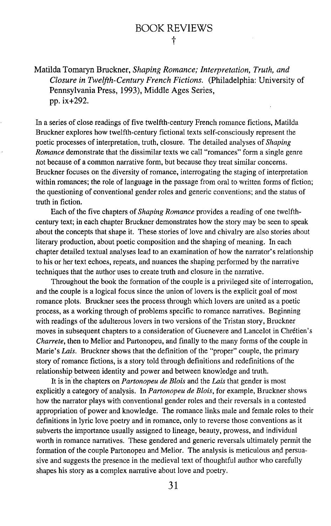Matilda Tomaryn Bruckner, *Shaping Romance; Interpretation, Truth, and Closure in Twelfth-Century French Fictions.* (Philadelphia: University of Pennsylvania Press, 1993), Middle Ages Series, pp. ix+292.

In a series of close readings of five twelfth-century French romance fictions, Matilda Bruckner explores how twelfth-century fictional texts self-consciously represent the poetic processes of interpretation, truth, closure. The detailed analyses of *Shaping Romance* demonstrate that the dissimilar texts we call "romances" form a single genre not because of a common narrative form, but because they treat similar concerns. Bruckner focuses on the diversity of romance, interrogating the staging of interpretation within romances; the role of language in the passage from oral to written forms of fiction; the questioning of conventional gender roles and generic conventions; and the status of truth in fiction.

Each of the five chapters of *Shaping Romance* provides a reading of one twelfthcentury text; in each chapter Bruckner demonstrates how the story may be seen to speak about the concepts that shape it. These stories of love and chivalry are also stories about literary production, about poetic composition and the shaping of meaning. In each chapter detailed textual analyses lead to an examination of how the narrator's relationship to his or her text echoes, repeats, and nuances the shaping performed by the narrative techniques that the author uses to create truth and closure in the narrative.

Throughout the book the formation of the couple is a privileged site of interrogation, and the couple is a logical focus since the union of lovers is the explicit goal of most romance plots. Bruckner sees the process through which lovers are united as a poetic process, as a working through of problems specific to romance narratives. Beginning with readings of the adulterous lovers in two versions of the Tristan story, Bruckner moves in subsequent chapters to a consideration of Guenevere and Lancelot in Chretien's *Charrete*, then to Melior and Partonopeu, and finally to the many forms of the couple in Marie's *Lais.* Bruckner shows that the definition of the "proper" couple, the primary story of romance fictions, is a story told through definitions and redefinitions of the relationship between identity and power and between knowledge and truth.

It is inthe chapters on *Partonopeu de Blois* and the *Lais* that gender is most explicitly a category of analysis. In *Partonopeu de Blois,* for example, Bruckner shows how the narrator plays with conventional gender roles and their reversals in a contested appropriation of power and knowledge. The romance links male and female roles to their definitions in lyric love poetry and in romance, only to reverse those conventions as it subverts the importance usually assigned to lineage, beauty, prowess, and individual worth in romance narratives. These gendered and generic reversals ultimately permit the formation of the couple Partonopeu and Melior. The analysis is meticulous and persuasive and suggests the presence in the medieval text of thoughtful author who carefully shapes his story as a complex narrative about love and poetry.